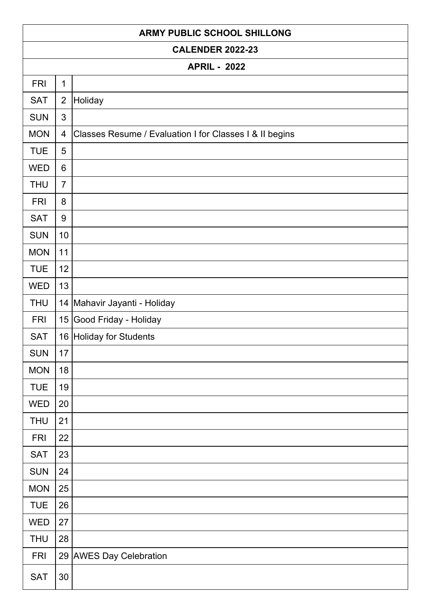| <b>ARMY PUBLIC SCHOOL SHILLONG</b> |                |                                                         |  |
|------------------------------------|----------------|---------------------------------------------------------|--|
| <b>CALENDER 2022-23</b>            |                |                                                         |  |
| <b>APRIL - 2022</b>                |                |                                                         |  |
| <b>FRI</b>                         | $\mathbf{1}$   |                                                         |  |
| <b>SAT</b>                         | $\overline{2}$ | Holiday                                                 |  |
| <b>SUN</b>                         | 3              |                                                         |  |
| <b>MON</b>                         | $\overline{4}$ | Classes Resume / Evaluation I for Classes I & II begins |  |
| <b>TUE</b>                         | 5              |                                                         |  |
| <b>WED</b>                         | 6              |                                                         |  |
| <b>THU</b>                         | $\overline{7}$ |                                                         |  |
| <b>FRI</b>                         | 8              |                                                         |  |
| <b>SAT</b>                         | 9              |                                                         |  |
| <b>SUN</b>                         | 10             |                                                         |  |
| <b>MON</b>                         | 11             |                                                         |  |
| <b>TUE</b>                         | 12             |                                                         |  |
| <b>WED</b>                         | 13             |                                                         |  |
| <b>THU</b>                         |                | 14 Mahavir Jayanti - Holiday                            |  |
| <b>FRI</b>                         |                | 15 Good Friday - Holiday                                |  |
| <b>SAT</b>                         |                | 16 Holiday for Students                                 |  |
| <b>SUN</b>                         | 17             |                                                         |  |
| <b>MON</b>                         | 18             |                                                         |  |
| <b>TUE</b>                         | 19             |                                                         |  |
| <b>WED</b>                         | 20             |                                                         |  |
| <b>THU</b>                         | 21             |                                                         |  |
| <b>FRI</b>                         | 22             |                                                         |  |
| <b>SAT</b>                         | 23             |                                                         |  |
| <b>SUN</b>                         | 24             |                                                         |  |
| <b>MON</b>                         | 25             |                                                         |  |
| <b>TUE</b>                         | 26             |                                                         |  |
| <b>WED</b>                         | 27             |                                                         |  |
| <b>THU</b>                         | 28             |                                                         |  |
| <b>FRI</b>                         |                | 29 AWES Day Celebration                                 |  |
| <b>SAT</b>                         | $30\,$         |                                                         |  |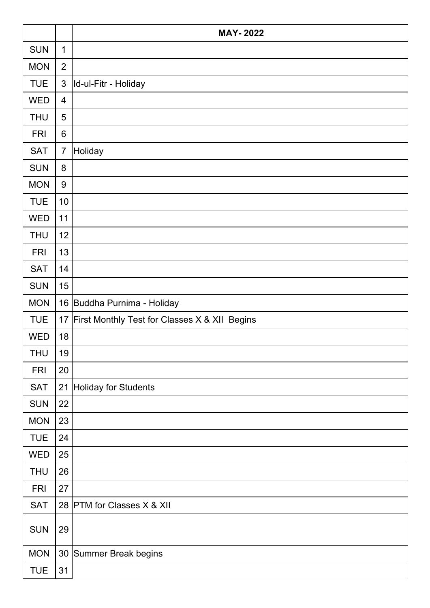|            |                | <b>MAY-2022</b>                               |
|------------|----------------|-----------------------------------------------|
| <b>SUN</b> | $\mathbf 1$    |                                               |
| <b>MON</b> | $\overline{2}$ |                                               |
| <b>TUE</b> | $\mathfrak{S}$ | Id-ul-Fitr - Holiday                          |
| <b>WED</b> | 4              |                                               |
| <b>THU</b> | 5              |                                               |
| <b>FRI</b> | 6              |                                               |
| <b>SAT</b> | $\overline{7}$ | Holiday                                       |
| <b>SUN</b> | 8              |                                               |
| <b>MON</b> | $9\,$          |                                               |
| <b>TUE</b> | 10             |                                               |
| <b>WED</b> | 11             |                                               |
| <b>THU</b> | 12             |                                               |
| <b>FRI</b> | 13             |                                               |
| <b>SAT</b> | 14             |                                               |
| <b>SUN</b> | 15             |                                               |
| <b>MON</b> | 16             | Buddha Purnima - Holiday                      |
| <b>TUE</b> | 17             | First Monthly Test for Classes X & XII Begins |
| <b>WED</b> | 18             |                                               |
| <b>THU</b> | 19             |                                               |
| <b>FRI</b> | 20             |                                               |
| <b>SAT</b> | 21             | <b>Holiday for Students</b>                   |
| <b>SUN</b> | 22             |                                               |
| <b>MON</b> | 23             |                                               |
| <b>TUE</b> | 24             |                                               |
| <b>WED</b> | 25             |                                               |
| <b>THU</b> | 26             |                                               |
| <b>FRI</b> | 27             |                                               |
| <b>SAT</b> |                | 28 PTM for Classes X & XII                    |
| <b>SUN</b> | 29             |                                               |
| <b>MON</b> |                | 30 Summer Break begins                        |
| <b>TUE</b> | 31             |                                               |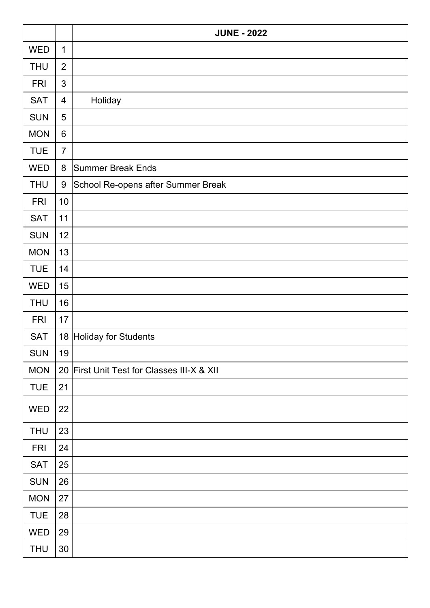|            |                | <b>JUNE - 2022</b>                         |
|------------|----------------|--------------------------------------------|
| <b>WED</b> | $\mathbf{1}$   |                                            |
| <b>THU</b> | $\overline{2}$ |                                            |
| <b>FRI</b> | 3              |                                            |
| <b>SAT</b> | $\overline{4}$ | Holiday                                    |
| <b>SUN</b> | 5              |                                            |
| <b>MON</b> | $6\phantom{1}$ |                                            |
| <b>TUE</b> | $\overline{7}$ |                                            |
| <b>WED</b> | $\bf 8$        | <b>Summer Break Ends</b>                   |
| <b>THU</b> | 9              | School Re-opens after Summer Break         |
| <b>FRI</b> | 10             |                                            |
| <b>SAT</b> | 11             |                                            |
| <b>SUN</b> | 12             |                                            |
| <b>MON</b> | 13             |                                            |
| <b>TUE</b> | 14             |                                            |
| <b>WED</b> | 15             |                                            |
| <b>THU</b> | 16             |                                            |
| <b>FRI</b> | 17             |                                            |
| <b>SAT</b> |                | 18 Holiday for Students                    |
| <b>SUN</b> | 19             |                                            |
| <b>MON</b> |                | 20 First Unit Test for Classes III-X & XII |
| <b>TUE</b> | 21             |                                            |
| <b>WED</b> | 22             |                                            |
| <b>THU</b> | 23             |                                            |
| <b>FRI</b> | 24             |                                            |
| <b>SAT</b> | 25             |                                            |
| <b>SUN</b> | 26             |                                            |
| <b>MON</b> | 27             |                                            |
| <b>TUE</b> | 28             |                                            |
| <b>WED</b> | 29             |                                            |
| <b>THU</b> | 30             |                                            |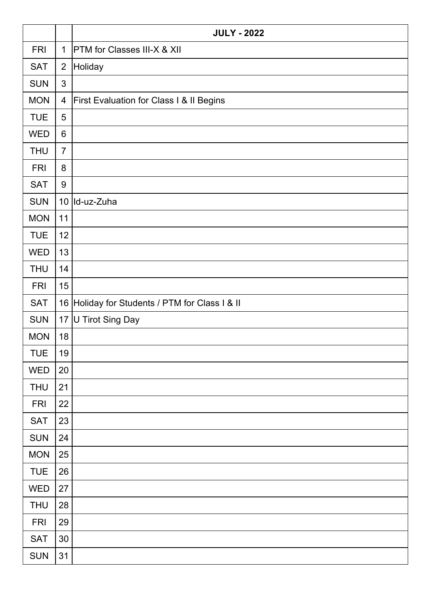|            |                  | <b>JULY - 2022</b>                                  |
|------------|------------------|-----------------------------------------------------|
| <b>FRI</b> | $\mathbf{1}$     | <b>PTM</b> for Classes III-X & XII                  |
| <b>SAT</b> | $\overline{2}$   | Holiday                                             |
| <b>SUN</b> | 3                |                                                     |
| <b>MON</b> | 4                | <b>First Evaluation for Class I &amp; II Begins</b> |
| <b>TUE</b> | 5                |                                                     |
| <b>WED</b> | 6                |                                                     |
| <b>THU</b> | $\overline{7}$   |                                                     |
| <b>FRI</b> | 8                |                                                     |
| <b>SAT</b> | $\boldsymbol{9}$ |                                                     |
| <b>SUN</b> |                  | 10   Id-uz-Zuha                                     |
| <b>MON</b> | 11               |                                                     |
| <b>TUE</b> | 12               |                                                     |
| <b>WED</b> | 13               |                                                     |
| <b>THU</b> | 14               |                                                     |
| <b>FRI</b> | 15               |                                                     |
| <b>SAT</b> |                  | 16 Holiday for Students / PTM for Class I & II      |
| <b>SUN</b> |                  | 17 U Tirot Sing Day                                 |
| <b>MON</b> | 18               |                                                     |
| <b>TUE</b> | 19               |                                                     |
| <b>WED</b> | 20               |                                                     |
| <b>THU</b> | 21               |                                                     |
| <b>FRI</b> | 22               |                                                     |
| <b>SAT</b> | 23               |                                                     |
| <b>SUN</b> | 24               |                                                     |
| <b>MON</b> | 25               |                                                     |
| <b>TUE</b> | 26               |                                                     |
| <b>WED</b> | 27               |                                                     |
| <b>THU</b> | 28               |                                                     |
| <b>FRI</b> | 29               |                                                     |
| <b>SAT</b> | 30               |                                                     |
| SUN        | 31               |                                                     |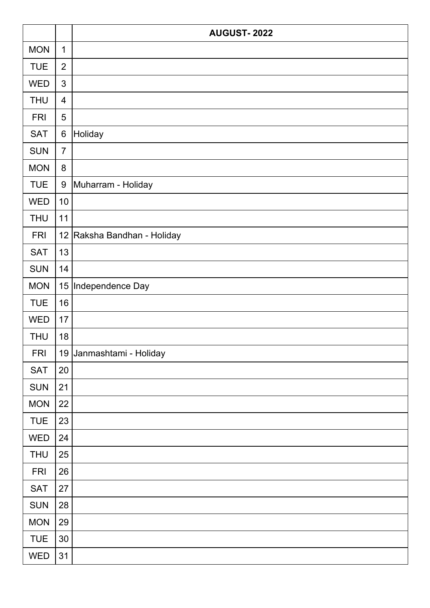|            |                  | <b>AUGUST-2022</b>          |
|------------|------------------|-----------------------------|
| <b>MON</b> | $\mathbf{1}$     |                             |
| <b>TUE</b> | $\overline{2}$   |                             |
| <b>WED</b> | 3                |                             |
| <b>THU</b> | 4                |                             |
| <b>FRI</b> | 5                |                             |
| <b>SAT</b> | 6                | Holiday                     |
| <b>SUN</b> | $\overline{7}$   |                             |
| <b>MON</b> | $\bf 8$          |                             |
| <b>TUE</b> | $\boldsymbol{9}$ | Muharram - Holiday          |
| <b>WED</b> | 10               |                             |
| <b>THU</b> | 11               |                             |
| <b>FRI</b> |                  | 12 Raksha Bandhan - Holiday |
| <b>SAT</b> | 13               |                             |
| <b>SUN</b> | 14               |                             |
| <b>MON</b> | 15               | Independence Day            |
| <b>TUE</b> | 16               |                             |
| <b>WED</b> | 17               |                             |
| <b>THU</b> | 18               |                             |
| <b>FRI</b> |                  | 19 Janmashtami - Holiday    |
| <b>SAT</b> | 20               |                             |
| <b>SUN</b> | 21               |                             |
| <b>MON</b> | 22               |                             |
| <b>TUE</b> | 23               |                             |
| <b>WED</b> | 24               |                             |
| <b>THU</b> | 25               |                             |
| <b>FRI</b> | 26               |                             |
| <b>SAT</b> | 27               |                             |
| <b>SUN</b> | 28               |                             |
| <b>MON</b> | 29               |                             |
| <b>TUE</b> | 30               |                             |
| <b>WED</b> | 31               |                             |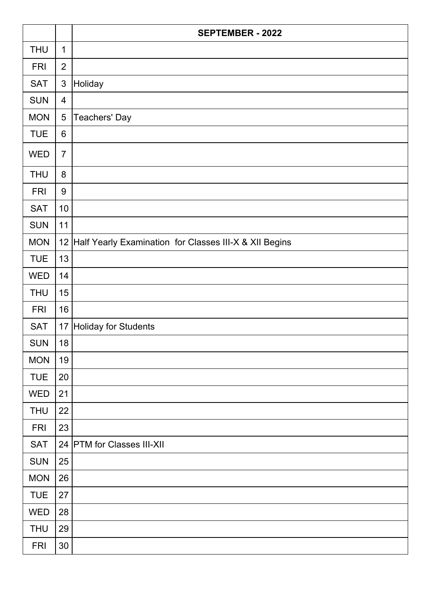|            |                  | <b>SEPTEMBER - 2022</b>                                   |
|------------|------------------|-----------------------------------------------------------|
| <b>THU</b> | $\mathbf 1$      |                                                           |
| <b>FRI</b> | $\overline{2}$   |                                                           |
| <b>SAT</b> | $\mathfrak{S}$   | Holiday                                                   |
| <b>SUN</b> | $\overline{4}$   |                                                           |
| <b>MON</b> | 5                | <b>Teachers' Day</b>                                      |
| <b>TUE</b> | $6\phantom{1}$   |                                                           |
| <b>WED</b> | $\overline{7}$   |                                                           |
| <b>THU</b> | 8                |                                                           |
| <b>FRI</b> | $\boldsymbol{9}$ |                                                           |
| <b>SAT</b> | 10               |                                                           |
| <b>SUN</b> | 11               |                                                           |
| <b>MON</b> |                  | 12 Half Yearly Examination for Classes III-X & XII Begins |
| <b>TUE</b> | 13               |                                                           |
| <b>WED</b> | 14               |                                                           |
| <b>THU</b> | 15               |                                                           |
| <b>FRI</b> | 16               |                                                           |
| <b>SAT</b> | 17               | Holiday for Students                                      |
| <b>SUN</b> | 18               |                                                           |
| <b>MON</b> | 19               |                                                           |
| <b>TUE</b> | 20               |                                                           |
| <b>WED</b> | 21               |                                                           |
| <b>THU</b> | 22               |                                                           |
| <b>FRI</b> | 23               |                                                           |
| <b>SAT</b> |                  | 24 PTM for Classes III-XII                                |
| <b>SUN</b> | 25               |                                                           |
| <b>MON</b> | 26               |                                                           |
| <b>TUE</b> | 27               |                                                           |
| <b>WED</b> | 28               |                                                           |
| <b>THU</b> | 29               |                                                           |
| <b>FRI</b> | 30               |                                                           |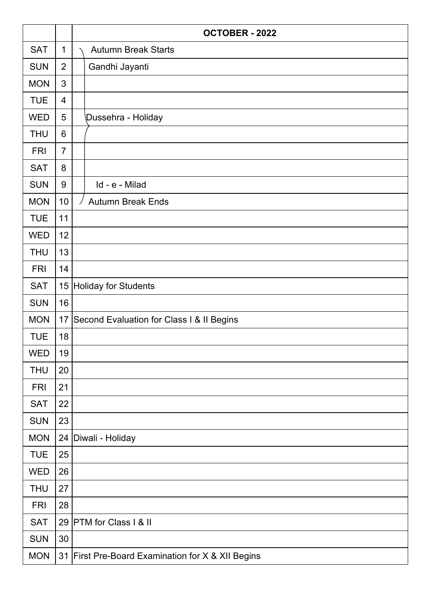|            |                | <b>OCTOBER - 2022</b>                                     |
|------------|----------------|-----------------------------------------------------------|
| <b>SAT</b> | $\mathbf{1}$   | <b>Autumn Break Starts</b>                                |
| <b>SUN</b> | $\overline{2}$ | Gandhi Jayanti                                            |
| <b>MON</b> | 3              |                                                           |
| <b>TUE</b> | 4              |                                                           |
| <b>WED</b> | 5              | Dussehra - Holiday                                        |
| <b>THU</b> | 6              |                                                           |
| <b>FRI</b> | $\overline{7}$ |                                                           |
| <b>SAT</b> | 8              |                                                           |
| <b>SUN</b> | 9              | Id - e - Milad                                            |
| <b>MON</b> | 10             | <b>Autumn Break Ends</b>                                  |
| <b>TUE</b> | 11             |                                                           |
| <b>WED</b> | 12             |                                                           |
| <b>THU</b> | 13             |                                                           |
| <b>FRI</b> | 14             |                                                           |
| <b>SAT</b> | 15             | Holiday for Students                                      |
| <b>SUN</b> | 16             |                                                           |
| <b>MON</b> | 17             | Second Evaluation for Class I & II Begins                 |
| <b>TUE</b> | 18             |                                                           |
| <b>WED</b> | 19             |                                                           |
| <b>THU</b> | 20             |                                                           |
| <b>FRI</b> | 21             |                                                           |
| <b>SAT</b> | 22             |                                                           |
| <b>SUN</b> | 23             |                                                           |
| <b>MON</b> |                | 24   Diwali - Holiday                                     |
| <b>TUE</b> | 25             |                                                           |
| <b>WED</b> | 26             |                                                           |
| <b>THU</b> | 27             |                                                           |
| <b>FRI</b> | 28             |                                                           |
| <b>SAT</b> |                | 29 PTM for Class I & II                                   |
| <b>SUN</b> | 30             |                                                           |
| <b>MON</b> | 31             | <b>First Pre-Board Examination for X &amp; XII Begins</b> |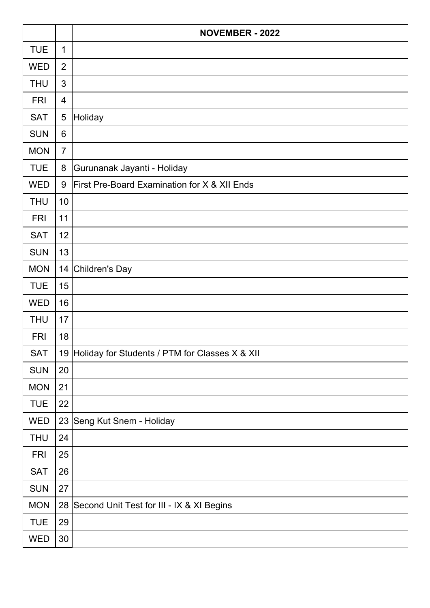|            |                  | <b>NOVEMBER - 2022</b>                            |
|------------|------------------|---------------------------------------------------|
| <b>TUE</b> | $\mathbf{1}$     |                                                   |
| <b>WED</b> | $\overline{2}$   |                                                   |
| <b>THU</b> | 3                |                                                   |
| <b>FRI</b> | 4                |                                                   |
| <b>SAT</b> | 5                | Holiday                                           |
| <b>SUN</b> | 6                |                                                   |
| <b>MON</b> | $\overline{7}$   |                                                   |
| <b>TUE</b> | 8                | Gurunanak Jayanti - Holiday                       |
| <b>WED</b> | $\boldsymbol{9}$ | First Pre-Board Examination for X & XII Ends      |
| <b>THU</b> | 10               |                                                   |
| <b>FRI</b> | 11               |                                                   |
| <b>SAT</b> | 12               |                                                   |
| <b>SUN</b> | 13               |                                                   |
| <b>MON</b> |                  | 14 Children's Day                                 |
| <b>TUE</b> | 15               |                                                   |
| <b>WED</b> | 16               |                                                   |
| <b>THU</b> | 17               |                                                   |
| <b>FRI</b> | 18               |                                                   |
| <b>SAT</b> |                  | 19 Holiday for Students / PTM for Classes X & XII |
| <b>SUN</b> | 20               |                                                   |
| <b>MON</b> | 21               |                                                   |
| <b>TUE</b> | 22               |                                                   |
| <b>WED</b> |                  | 23 Seng Kut Snem - Holiday                        |
| <b>THU</b> | 24               |                                                   |
| <b>FRI</b> | 25               |                                                   |
| <b>SAT</b> | 26               |                                                   |
| <b>SUN</b> | 27               |                                                   |
| <b>MON</b> |                  | 28 Second Unit Test for III - IX & XI Begins      |
| <b>TUE</b> | 29               |                                                   |
| WED        | 30               |                                                   |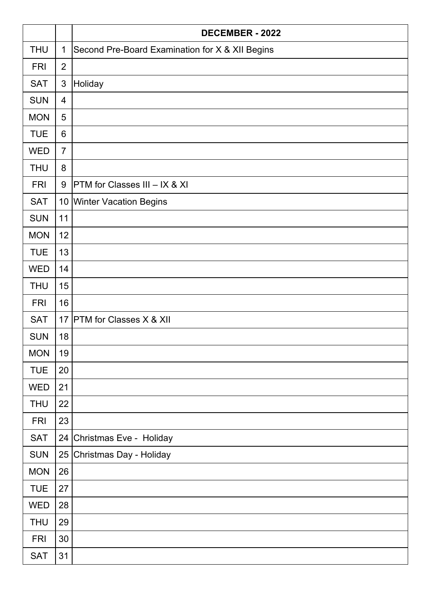|            |                | <b>DECEMBER - 2022</b>                          |
|------------|----------------|-------------------------------------------------|
| <b>THU</b> | $\mathbf{1}$   | Second Pre-Board Examination for X & XII Begins |
| <b>FRI</b> | $\overline{2}$ |                                                 |
| <b>SAT</b> | $\mathfrak{S}$ | Holiday                                         |
| <b>SUN</b> | $\overline{4}$ |                                                 |
| <b>MON</b> | 5              |                                                 |
| <b>TUE</b> | 6              |                                                 |
| <b>WED</b> | $\overline{7}$ |                                                 |
| <b>THU</b> | 8              |                                                 |
| <b>FRI</b> | 9              | PTM for Classes III - IX & XI                   |
| <b>SAT</b> |                | 10 Winter Vacation Begins                       |
| <b>SUN</b> | 11             |                                                 |
| <b>MON</b> | 12             |                                                 |
| <b>TUE</b> | 13             |                                                 |
| <b>WED</b> | 14             |                                                 |
| <b>THU</b> | 15             |                                                 |
| <b>FRI</b> | 16             |                                                 |
| <b>SAT</b> | 17             | <b>PTM</b> for Classes X & XII                  |
| <b>SUN</b> | 18             |                                                 |
| <b>MON</b> | 19             |                                                 |
| <b>TUE</b> | 20             |                                                 |
| <b>WED</b> | 21             |                                                 |
| <b>THU</b> | 22             |                                                 |
| <b>FRI</b> | 23             |                                                 |
| <b>SAT</b> | 24             | Christmas Eve - Holiday                         |
| <b>SUN</b> | 25             | Christmas Day - Holiday                         |
| <b>MON</b> | 26             |                                                 |
| <b>TUE</b> | 27             |                                                 |
| <b>WED</b> | 28             |                                                 |
| <b>THU</b> | 29             |                                                 |
| <b>FRI</b> | 30             |                                                 |
| <b>SAT</b> | 31             |                                                 |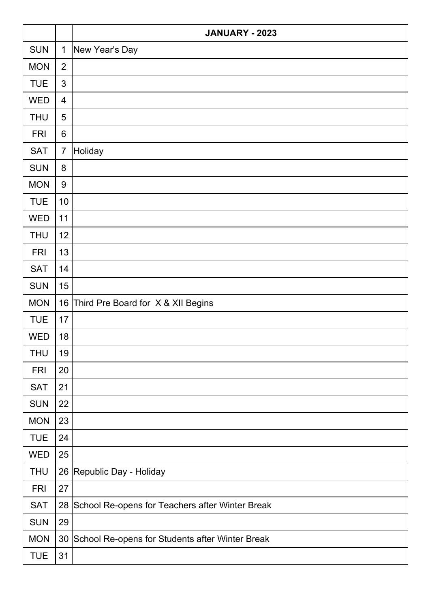|            |                | <b>JANUARY - 2023</b>                           |
|------------|----------------|-------------------------------------------------|
| <b>SUN</b> | $\mathbf{1}$   | New Year's Day                                  |
| <b>MON</b> | $\overline{2}$ |                                                 |
| <b>TUE</b> | 3              |                                                 |
| <b>WED</b> | $\overline{4}$ |                                                 |
| <b>THU</b> | 5              |                                                 |
| <b>FRI</b> | $6\phantom{1}$ |                                                 |
| <b>SAT</b> | $\overline{7}$ | Holiday                                         |
| <b>SUN</b> | 8              |                                                 |
| <b>MON</b> | $9\,$          |                                                 |
| <b>TUE</b> | 10             |                                                 |
| <b>WED</b> | 11             |                                                 |
| <b>THU</b> | 12             |                                                 |
| <b>FRI</b> | 13             |                                                 |
| <b>SAT</b> | 14             |                                                 |
| <b>SUN</b> | 15             |                                                 |
| <b>MON</b> | 16             | Third Pre Board for X & XII Begins              |
| <b>TUE</b> | 17             |                                                 |
| <b>WED</b> | 18             |                                                 |
| <b>THU</b> | 19             |                                                 |
| <b>FRI</b> | 20             |                                                 |
| <b>SAT</b> | 21             |                                                 |
| <b>SUN</b> | 22             |                                                 |
| <b>MON</b> | 23             |                                                 |
| <b>TUE</b> | 24             |                                                 |
| <b>WED</b> | 25             |                                                 |
| <b>THU</b> | 26             | Republic Day - Holiday                          |
| <b>FRI</b> | 27             |                                                 |
| <b>SAT</b> | 28             | School Re-opens for Teachers after Winter Break |
| <b>SUN</b> | 29             |                                                 |
| <b>MON</b> | 30             | School Re-opens for Students after Winter Break |
| <b>TUE</b> | 31             |                                                 |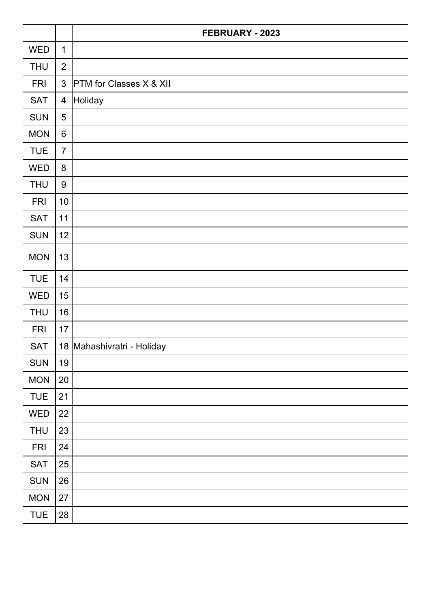|            |                  | FEBRUARY - 2023                |
|------------|------------------|--------------------------------|
| <b>WED</b> | $\mathbf{1}$     |                                |
| <b>THU</b> | $\overline{2}$   |                                |
| <b>FRI</b> | 3                | <b>PTM</b> for Classes X & XII |
| <b>SAT</b> | $\overline{4}$   | Holiday                        |
| <b>SUN</b> | $\overline{5}$   |                                |
| <b>MON</b> | $6\phantom{1}$   |                                |
| <b>TUE</b> | $\overline{7}$   |                                |
| <b>WED</b> | 8                |                                |
| <b>THU</b> | $\boldsymbol{9}$ |                                |
| <b>FRI</b> | 10               |                                |
| <b>SAT</b> | 11               |                                |
| <b>SUN</b> | 12               |                                |
| <b>MON</b> | 13               |                                |
| <b>TUE</b> | 14               |                                |
| <b>WED</b> | 15               |                                |
| <b>THU</b> | 16               |                                |
| <b>FRI</b> | 17               |                                |
| <b>SAT</b> |                  | 18 Mahashivratri - Holiday     |
| <b>SUN</b> | 19               |                                |
| <b>MON</b> | 20               |                                |
| <b>TUE</b> | 21               |                                |
| <b>WED</b> | 22               |                                |
| <b>THU</b> | 23               |                                |
| <b>FRI</b> | 24               |                                |
| <b>SAT</b> | 25               |                                |
| SUN        | 26               |                                |
| <b>MON</b> | 27               |                                |
| <b>TUE</b> | 28               |                                |